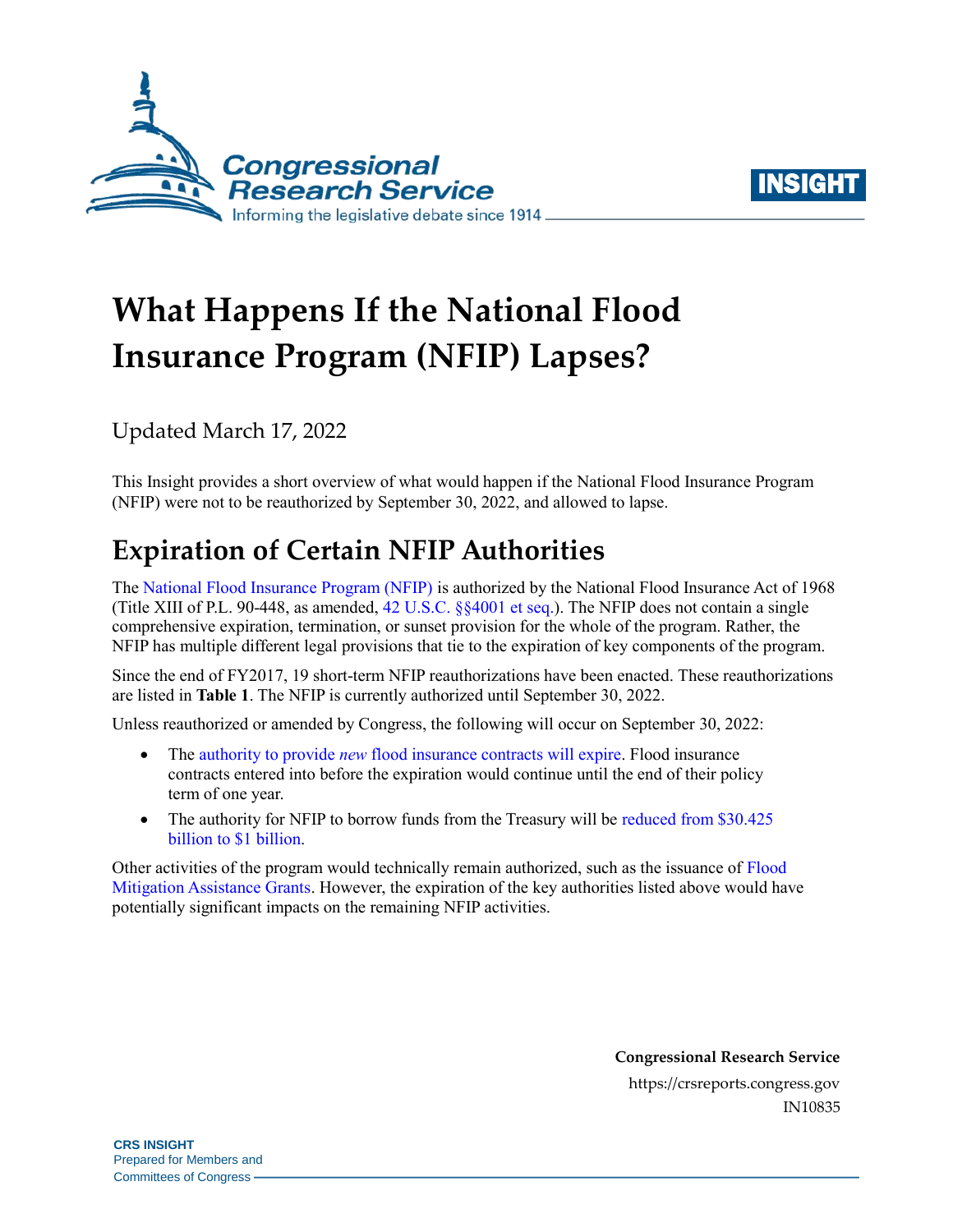



# **What Happens If the National Flood Insurance Program (NFIP) Lapses?**

Updated March 17, 2022

This Insight provides a short overview of what would happen if the National Flood Insurance Program (NFIP) were not to be reauthorized by September 30, 2022, and allowed to lapse.

## **Expiration of Certain NFIP Authorities**

The [National Flood Insurance Program \(NFIP\)](https://crsreports.congress.gov/product/pdf/R/R44593) is authorized by the National Flood Insurance Act of 1968 (Title XIII of P.L. 90-448, as amended, [42 U.S.C. §§4001 et seq.\)](http://uscode.house.gov/view.xhtml?req=(title:42%20section:4001%20edition:prelim)%20OR%20(granuleid:USC-prelim-title42-section4001)&f=treesort&edition=prelim&num=0&jumpTo=true). The NFIP does not contain a single comprehensive expiration, termination, or sunset provision for the whole of the program. Rather, the NFIP has multiple different legal provisions that tie to the expiration of key components of the program.

Since the end of FY2017, 19 short-term NFIP reauthorizations have been enacted. These reauthorizations are listed in **[Table 1](#page-1-0)**. The NFIP is currently authorized until September 30, 2022.

Unless reauthorized or amended by Congress, the following will occur on September 30, 2022:

- The authority to provide *new* [flood insurance contracts will expire.](https://www.govinfo.gov/content/pkg/USCODE-2015-title42/pdf/USCODE-2015-title42-chap50-subchapI-sec4026.pdf) Flood insurance contracts entered into before the expiration would continue until the end of their policy term of one year.
- The authority for NFIP to borrow funds from the Treasury will be reduced from \$30.425 [billion to \\$1 billion.](https://www.govinfo.gov/content/pkg/USCODE-2014-title42/pdf/USCODE-2014-title42-chap50-subchapI-sec4016.pdf)

Other activities of the program would technically remain authorized, such as the issuance of [Flood](https://www.fema.gov/grants/mitigation/floods)  [Mitigation Assistance Grants.](https://www.fema.gov/grants/mitigation/floods) However, the expiration of the key authorities listed above would have potentially significant impacts on the remaining NFIP activities.

> **Congressional Research Service** https://crsreports.congress.gov IN10835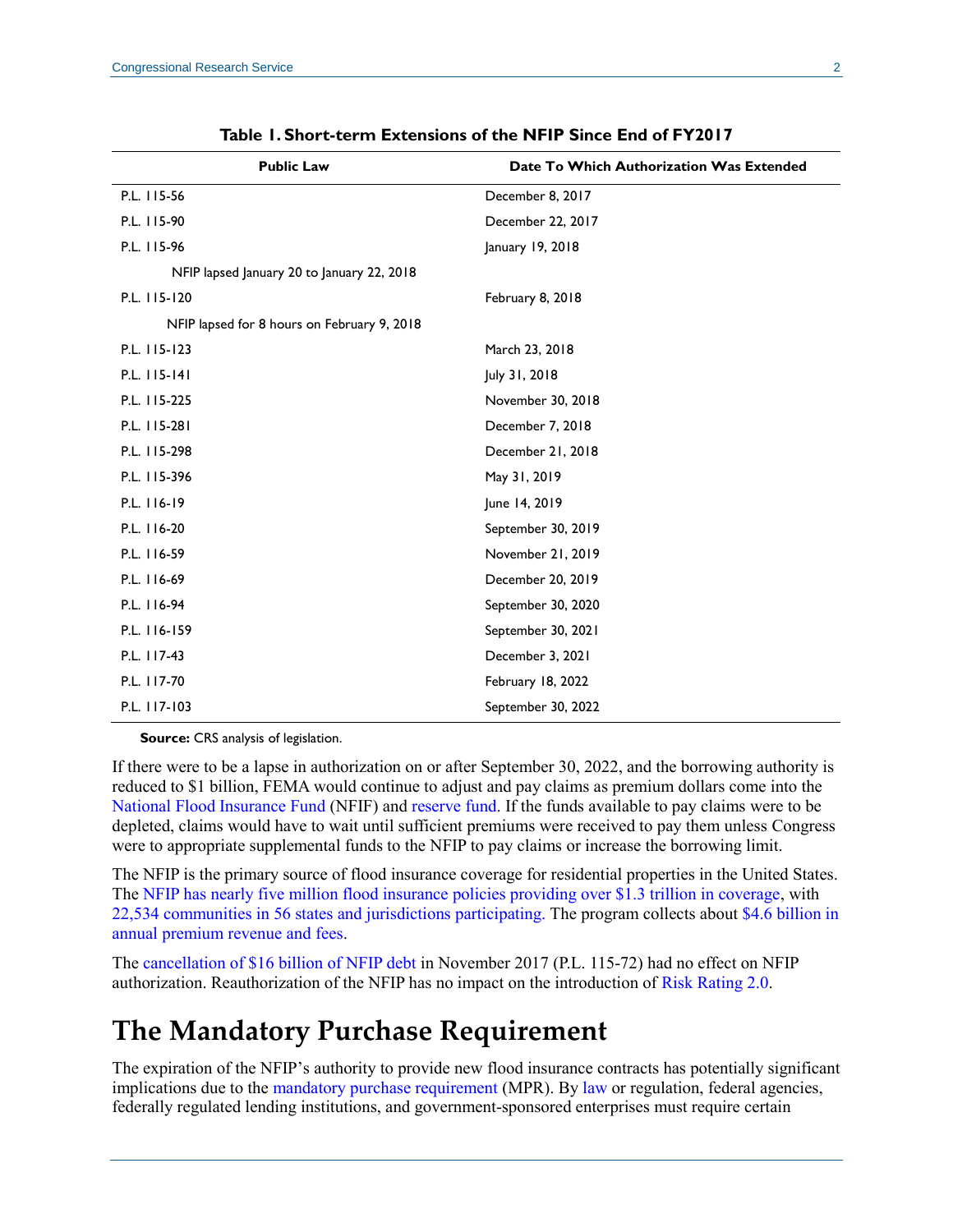<span id="page-1-0"></span>

| <b>Public Law</b>                           | Date To Which Authorization Was Extended |
|---------------------------------------------|------------------------------------------|
| P.L. 115-56                                 | December 8, 2017                         |
| P.L. 115-90                                 | December 22, 2017                        |
| P.L. 115-96                                 | January 19, 2018                         |
| NFIP lapsed January 20 to January 22, 2018  |                                          |
| P.L. 115-120                                | February 8, 2018                         |
| NFIP lapsed for 8 hours on February 9, 2018 |                                          |
| P.L. 115-123                                | March 23, 2018                           |
| P.L. 115-141                                | July 31, 2018                            |
| P.L. 115-225                                | November 30, 2018                        |
| P.L. 115-281                                | December 7, 2018                         |
| P.L. 115-298                                | December 21, 2018                        |
| P.L. 115-396                                | May 31, 2019                             |
| P.L. 116-19                                 | June 14, 2019                            |
| P.L. 116-20                                 | September 30, 2019                       |
| P.L. 116-59                                 | November 21, 2019                        |
| P.L. 116-69                                 | December 20, 2019                        |
| P.L. 116-94                                 | September 30, 2020                       |
| P.L. 116-159                                | September 30, 2021                       |
| P.L. 117-43                                 | December 3, 2021                         |
| P.L. 117-70                                 | February 18, 2022                        |
| P.L. 117-103                                | September 30, 2022                       |

**Table 1. Short-term Extensions of the NFIP Since End of FY2017**

**Source:** CRS analysis of legislation.

If there were to be a lapse in authorization on or after September 30, 2022, and the borrowing authority is reduced to \$1 billion, FEMA would continue to adjust and pay claims as premium dollars come into the [National Flood Insurance Fund](https://www.govinfo.gov/content/pkg/USCODE-2010-title42/pdf/USCODE-2010-title42-chap50-subchapI-sec4017.pdf) (NFIF) and [reserve fund.](https://www.gpo.gov/fdsys/pkg/USCODE-2016-title42/pdf/USCODE-2016-title42-chap50-subchapI-sec4017a.pdf) If the funds available to pay claims were to be depleted, claims would have to wait until sufficient premiums were received to pay them unless Congress were to appropriate supplemental funds to the NFIP to pay claims or increase the borrowing limit.

The NFIP is the primary source of flood insurance coverage for residential properties in the United States. The [NFIP has nearly five million flood insurance policies providing over \\$1.3 trillion in coverage,](https://www.fema.gov/sites/default/files/documents/fema_fy-2021-q4-watermark.pdf) with [22,534 communities in 56 states and jurisdictions participating.](https://www.fema.gov/sites/default/files/documents/fema_fy-2021-q4-watermark.pdf) The program collects about [\\$4.6 billion in](https://www.fema.gov/sites/default/files/documents/fema_fy-2021-q4-watermark.pdf)  [annual premium revenue and fees.](https://www.fema.gov/sites/default/files/documents/fema_fy-2021-q4-watermark.pdf)

The [cancellation of \\$16 billion of NFIP debt](https://crsreports.congress.gov/product/pdf/IN/IN10784) in November 2017 [\(P.L. 115-72\)](http://www.congress.gov/cgi-lis/bdquery/R?d115:FLD002:@1(115+72)) had no effect on NFIP authorization. Reauthorization of the NFIP has no impact on the introduction of [Risk Rating 2.0.](https://crsreports.congress.gov/product/pdf/R/R45999)

## **The Mandatory Purchase Requirement**

The expiration of the NFIP's authority to provide new flood insurance contracts has potentially significant implications due to the [mandatory purchase requirement](https://www.fema.gov/node/404832) (MPR). By [law](https://www.govinfo.gov/content/pkg/USCODE-2019-title42/pdf/USCODE-2019-title42-chap50-subchapI-sec4012a.pdf) or regulation, federal agencies, federally regulated lending institutions, and government-sponsored enterprises must require certain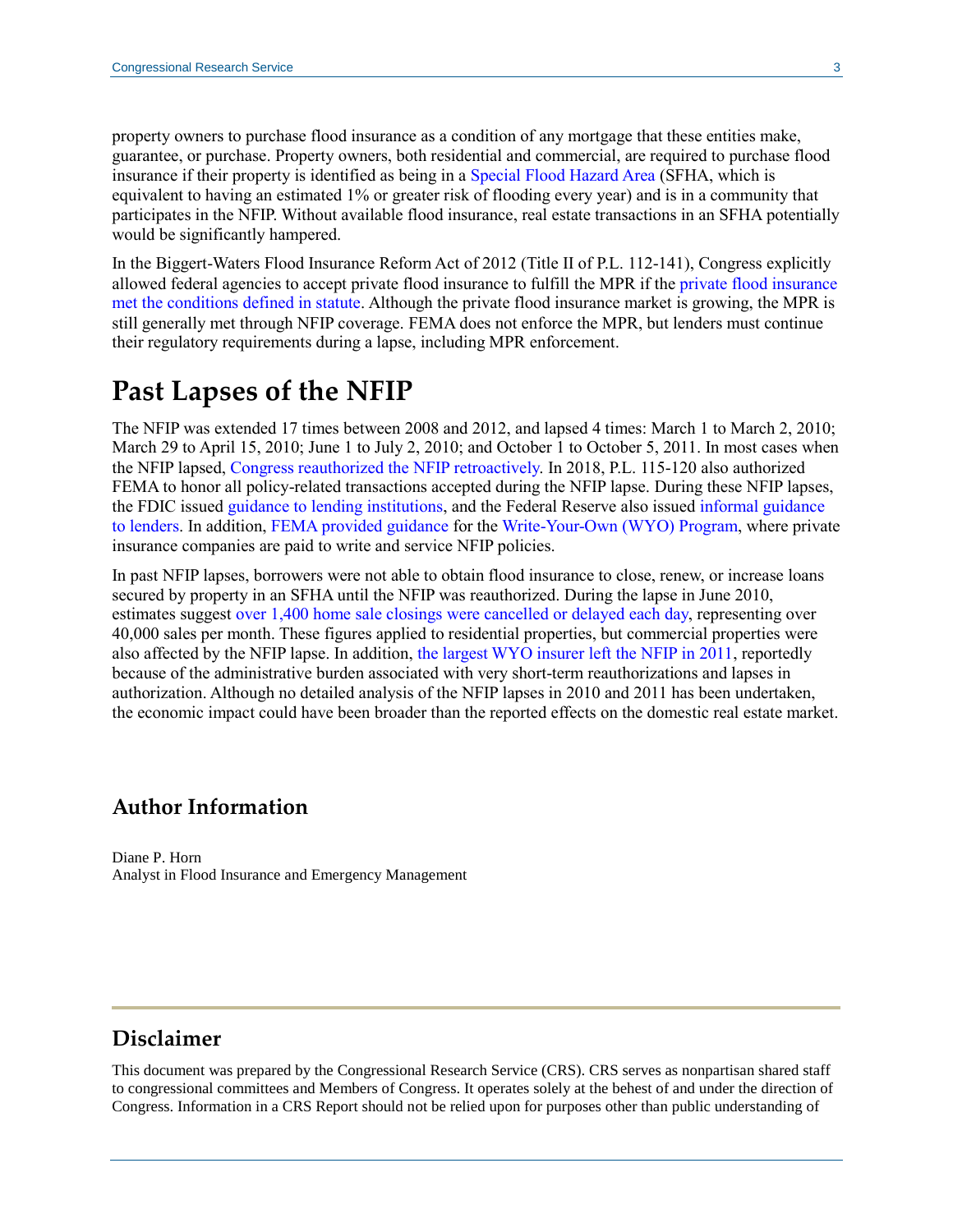property owners to purchase flood insurance as a condition of any mortgage that these entities make, guarantee, or purchase. Property owners, both residential and commercial, are required to purchase flood insurance if their property is identified as being in a [Special Flood Hazard Area](https://www.fema.gov/glossary/special-flood-hazard-area-sfha) (SFHA, which is equivalent to having an estimated 1% or greater risk of flooding every year) and is in a community that participates in the NFIP. Without available flood insurance, real estate transactions in an SFHA potentially would be significantly hampered.

In the Biggert-Waters Flood Insurance Reform Act of 2012 (Title II of [P.L. 112-141\)](http://www.congress.gov/cgi-lis/bdquery/R?d112:FLD002:@1(112+141)), Congress explicitly allowed federal agencies to accept private flood insurance to fulfill the MPR if th[e private flood insurance](https://www.govinfo.gov/content/pkg/USCODE-2019-title42/pdf/USCODE-2019-title42-chap50-subchapI-sec4012a.pdf)  [met the conditions defined in statute.](https://www.govinfo.gov/content/pkg/USCODE-2019-title42/pdf/USCODE-2019-title42-chap50-subchapI-sec4012a.pdf) Although the private flood insurance market is growing, the MPR is still generally met through NFIP coverage. FEMA does not enforce the MPR, but lenders must continue their regulatory requirements during a lapse, including MPR enforcement.

### **Past Lapses of the NFIP**

The NFIP was extended 17 times between 2008 and 2012, and lapsed 4 times: March 1 to March 2, 2010; March 29 to April 15, 2010; June 1 to July 2, 2010; and October 1 to October 5, 2011. In most cases when the NFIP lapsed, [Congress reauthorized the NFIP retroactively.](https://nfipservices.floodsmart.gov/sites/default/files/w-11084.pdf) In 2018, [P.L. 115-120](http://www.congress.gov/cgi-lis/bdquery/R?d115:FLD002:@1(115+120)) also authorized FEMA to honor all policy-related transactions accepted during the NFIP lapse. During these NFIP lapses, the FDIC issued [guidance to lending institutions,](https://www.fdic.gov/news/news/financial/2010/fil10023.html) and the Federal Reserve also issued [informal guidance](https://www.federalreserve.gov/boarddocs/caletters/2010/1003/10-3-attachment.pdf)  [to lenders.](https://www.federalreserve.gov/boarddocs/caletters/2010/1003/10-3-attachment.pdf) In addition, [FEMA provided guidance](https://nfipservices.floodsmart.gov/sites/default/files/w-10036.pdf) for th[e Write-Your-Own \(WYO\) Program,](https://nfipservices.floodsmart.gov/write-your-own-program) where private insurance companies are paid to write and service NFIP policies.

In past NFIP lapses, borrowers were not able to obtain flood insurance to close, renew, or increase loans secured by property in an SFHA until the NFIP was reauthorized. During the lapse in June 2010, estimates suggest [over 1,400 home sale closings were cancelled or delayed each day,](http://www.tandfonline.com/doi/abs/10.1080/10406026.2012.730931) representing over 40,000 sales per month. These figures applied to residential properties, but commercial properties were also affected by the NFIP lapse. In addition, [the largest WYO insurer left the NFIP in 2011,](http://www.gao.gov/products/GAO-11-297) reportedly because of the administrative burden associated with very short-term reauthorizations and lapses in authorization. Although no detailed analysis of the NFIP lapses in 2010 and 2011 has been undertaken, the economic impact could have been broader than the reported effects on the domestic real estate market.

#### **Author Information**

Diane P. Horn Analyst in Flood Insurance and Emergency Management

#### **Disclaimer**

This document was prepared by the Congressional Research Service (CRS). CRS serves as nonpartisan shared staff to congressional committees and Members of Congress. It operates solely at the behest of and under the direction of Congress. Information in a CRS Report should not be relied upon for purposes other than public understanding of